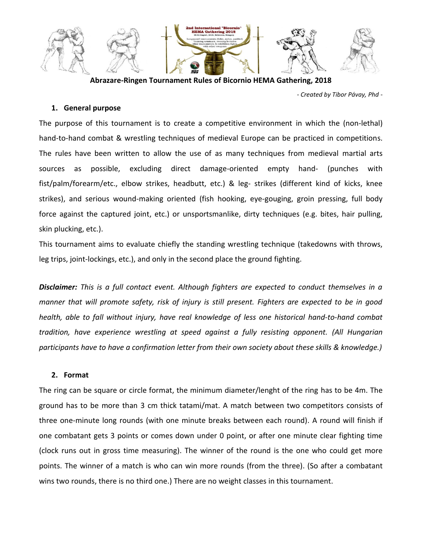

**Abrazare-Ringen Tournament Rules of Bicornio HEMA Gathering, 2018**

*- Created by Tibor Pávay, Phd -*

### **1. General purpose**

The purpose of this tournament is to create a competitive environment in which the (non-lethal) hand-to-hand combat & wrestling techniques of medieval Europe can be practiced in competitions. The rules have been written to allow the use of as many techniques from medieval martial arts sources as possible, excluding direct damage-oriented empty hand- (punches with fist/palm/forearm/etc., elbow strikes, headbutt, etc.) & leg- strikes (different kind of kicks, knee strikes), and serious wound-making oriented (fish hooking, eye-gouging, groin pressing, full body force against the captured joint, etc.) or unsportsmanlike, dirty techniques (e.g. bites, hair pulling, skin plucking, etc.).

This tournament aims to evaluate chiefly the standing wrestling technique (takedowns with throws, leg trips, joint-lockings, etc.), and only in the second place the ground fighting.

*Disclaimer: This is a full contact event. Although fighters are expected to conduct themselves in a manner that will promote safety, risk of injury is still present. Fighters are expected to be in good health, able to fall without injury, have real knowledge of less one historical hand-to-hand combat tradition, have experience wrestling at speed against a fully resisting opponent. (All Hungarian participants have to have a confirmation letter from their own society about these skills & knowledge.)*

#### **2. Format**

The ring can be square or circle format, the minimum diameter/lenght of the ring has to be 4m. The ground has to be more than 3 cm thick tatami/mat. A match between two competitors consists of three one-minute long rounds (with one minute breaks between each round). A round will finish if one combatant gets 3 points or comes down under 0 point, or after one minute clear fighting time (clock runs out in gross time measuring). The winner of the round is the one who could get more points. The winner of a match is who can win more rounds (from the three). (So after a combatant wins two rounds, there is no third one.) There are no weight classes in this tournament.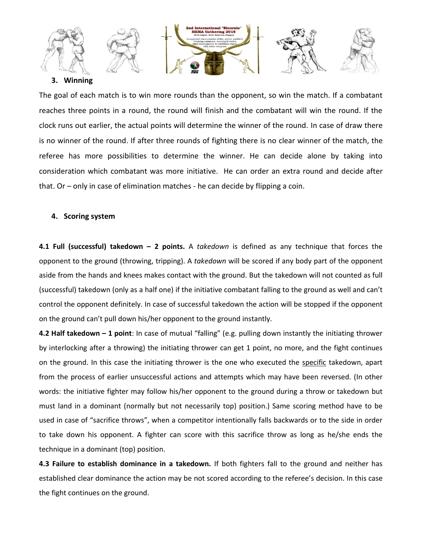

### **3. Winning**

The goal of each match is to win more rounds than the opponent, so win the match. If a combatant reaches three points in a round, the round will finish and the combatant will win the round. If the clock runs out earlier, the actual points will determine the winner of the round. In case of draw there is no winner of the round. If after three rounds of fighting there is no clear winner of the match, the referee has more possibilities to determine the winner. He can decide alone by taking into consideration which combatant was more initiative. He can order an extra round and decide after that. Or – only in case of elimination matches - he can decide by flipping a coin.

### **4. Scoring system**

**4.1 Full (successful) takedown – 2 points.** A *takedown* is defined as any technique that forces the opponent to the ground (throwing, tripping). A *takedown* will be scored if any body part of the opponent aside from the hands and knees makes contact with the ground. But the takedown will not counted as full (successful) takedown (only as a half one) if the initiative combatant falling to the ground as well and can't control the opponent definitely. In case of successful takedown the action will be stopped if the opponent on the ground can't pull down his/her opponent to the ground instantly.

**4.2 Half takedown – 1 point**: In case of mutual "falling" (e.g. pulling down instantly the initiating thrower by interlocking after a throwing) the initiating thrower can get 1 point, no more, and the fight continues on the ground. In this case the initiating thrower is the one who executed the specific takedown, apart from the process of earlier unsuccessful actions and attempts which may have been reversed. (In other words: the initiative fighter may follow his/her opponent to the ground during a throw or takedown but must land in a dominant (normally but not necessarily top) position.) Same scoring method have to be used in case of "sacrifice throws", when a competitor intentionally falls backwards or to the side in order to take down his opponent. A fighter can score with this sacrifice throw as long as he/she ends the technique in a dominant (top) position.

**4.3 Failure to establish dominance in a takedown.** If both fighters fall to the ground and neither has established clear dominance the action may be not scored according to the referee's decision. In this case the fight continues on the ground.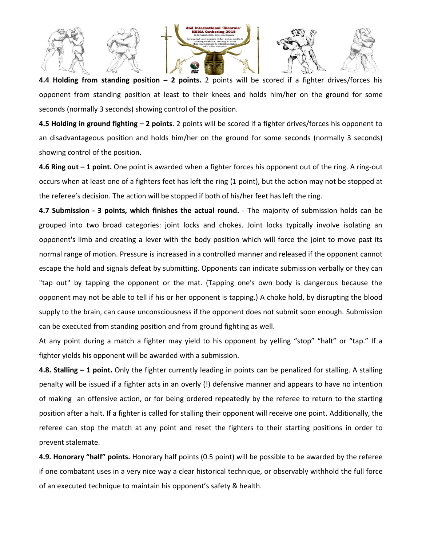

**4.4 Holding from standing position – 2 points.** 2 points will be scored if a fighter drives/forces his opponent from standing position at least to their knees and holds him/her on the ground for some seconds (normally 3 seconds) showing control of the position.

**4.5 Holding in ground fighting – 2 points**. 2 points will be scored if a fighter drives/forces his opponent to an disadvantageous position and holds him/her on the ground for some seconds (normally 3 seconds) showing control of the position.

**4.6 Ring out – 1 point.** One point is awarded when a fighter forces his opponent out of the ring. A ring-out occurs when at least one of a fighters feet has left the ring (1 point), but the action may not be stopped at the referee's decision. The action will be stopped if both of his/her feet has left the ring.

**4.7 Submission - 3 points, which finishes the actual round.** - The majority of submission holds can be grouped into two broad categories: joint locks and chokes. Joint locks typically involve isolating an opponent's limb and creating a lever with the body position which will force the joint to move past its normal range of motion. Pressure is increased in a controlled manner and released if the opponent cannot escape the hold and signals defeat by submitting. Opponents can indicate submission verbally or they can "tap out" by tapping the opponent or the mat. (Tapping one's own body is dangerous because the opponent may not be able to tell if his or her opponent is tapping.) A choke hold, by disrupting the blood supply to the brain, can cause unconsciousness if the opponent does not submit soon enough. Submission can be executed from standing position and from ground fighting as well.

At any point during a match a fighter may yield to his opponent by yelling "stop" "halt" or "tap." If a fighter yields his opponent will be awarded with a submission.

**4.8. Stalling – 1 point.** Only the fighter currently leading in points can be penalized for stalling. A stalling penalty will be issued if a fighter acts in an overly (!) defensive manner and appears to have no intention of making an offensive action, or for being ordered repeatedly by the referee to return to the starting position after a halt. If a fighter is called for stalling their opponent will receive one point. Additionally, the referee can stop the match at any point and reset the fighters to their starting positions in order to prevent stalemate.

**4.9. Honorary "half" points.** Honorary half points (0.5 point) will be possible to be awarded by the referee if one combatant uses in a very nice way a clear historical technique, or observably withhold the full force of an executed technique to maintain his opponent's safety & health.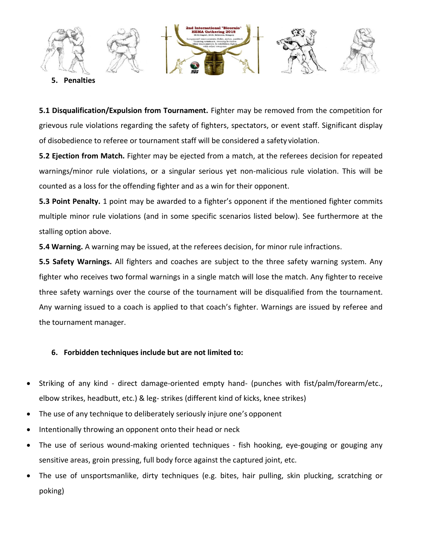

**5. Penalties**

**5.1 Disqualification/Expulsion from Tournament.** Fighter may be removed from the competition for grievous rule violations regarding the safety of fighters, spectators, or event staff. Significant display of disobedience to referee or tournament staff will be considered a safety violation.

**5.2 Ejection from Match.** Fighter may be ejected from a match, at the referees decision for repeated warnings/minor rule violations, or a singular serious yet non-malicious rule violation. This will be counted as a loss for the offending fighter and as a win for their opponent.

**5.3 Point Penalty.** 1 point may be awarded to a fighter's opponent if the mentioned fighter commits multiple minor rule violations (and in some specific scenarios listed below). See furthermore at the stalling option above.

**5.4 Warning.** A warning may be issued, at the referees decision, for minor rule infractions.

**5.5 Safety Warnings.** All fighters and coaches are subject to the three safety warning system. Any fighter who receives two formal warnings in a single match will lose the match. Any fighterto receive three safety warnings over the course of the tournament will be disqualified from the tournament. Any warning issued to a coach is applied to that coach's fighter. Warnings are issued by referee and the tournament manager.

# **6. Forbidden techniques include but are not limited to:**

- Striking of any kind direct damage-oriented empty hand- (punches with fist/palm/forearm/etc., elbow strikes, headbutt, etc.) & leg- strikes (different kind of kicks, knee strikes)
- The use of any technique to deliberately seriously injure one's opponent
- Intentionally throwing an opponent onto their head or neck
- The use of serious wound-making oriented techniques fish hooking, eye-gouging or gouging any sensitive areas, groin pressing, full body force against the captured joint, etc.
- The use of unsportsmanlike, dirty techniques (e.g. bites, hair pulling, skin plucking, scratching or poking)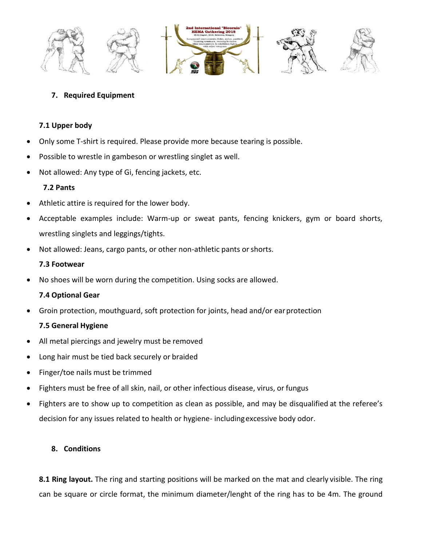

# **7. Required Equipment**

## **7.1 Upper body**

- Only some T-shirt is required. Please provide more because tearing is possible.
- Possible to wrestle in gambeson or wrestling singlet as well.
- Not allowed: Any type of Gi, fencing jackets, etc.

## **7.2 Pants**

- Athletic attire is required for the lower body.
- Acceptable examples include: Warm-up or sweat pants, fencing knickers, gym or board shorts, wrestling singlets and leggings/tights.
- Not allowed: Jeans, cargo pants, or other non-athletic pants or shorts.

## **7.3 Footwear**

• No shoes will be worn during the competition. Using socks are allowed.

# **7.4 Optional Gear**

• Groin protection, mouthguard, soft protection for joints, head and/or earprotection

# **7.5 General Hygiene**

- All metal piercings and jewelry must be removed
- Long hair must be tied back securely or braided
- Finger/toe nails must be trimmed
- Fighters must be free of all skin, nail, or other infectious disease, virus, or fungus
- Fighters are to show up to competition as clean as possible, and may be disqualified at the referee's decision for any issues related to health or hygiene- includingexcessive body odor.

# **8. Conditions**

**8.1 Ring layout.** The ring and starting positions will be marked on the mat and clearly visible. The ring can be square or circle format, the minimum diameter/lenght of the ring has to be 4m. The ground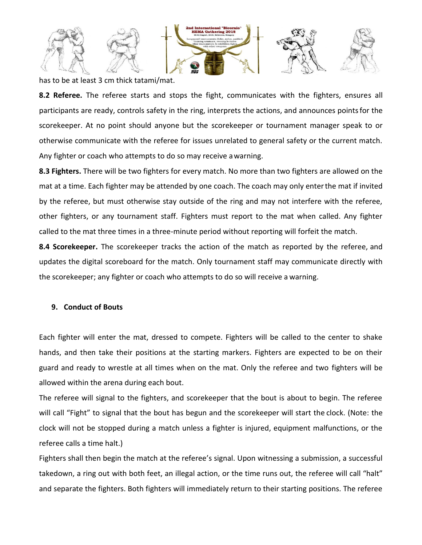

has to be at least 3 cm thick tatami/mat.

**8.2 Referee.** The referee starts and stops the fight, communicates with the fighters, ensures all participants are ready, controls safety in the ring, interprets the actions, and announces pointsfor the scorekeeper. At no point should anyone but the scorekeeper or tournament manager speak to or otherwise communicate with the referee for issues unrelated to general safety or the current match. Any fighter or coach who attempts to do so may receive awarning.

**8.3 Fighters.** There will be two fighters for every match. No more than two fighters are allowed on the mat at a time. Each fighter may be attended by one coach. The coach may only enterthe mat if invited by the referee, but must otherwise stay outside of the ring and may not interfere with the referee, other fighters, or any tournament staff. Fighters must report to the mat when called. Any fighter called to the mat three times in a three-minute period without reporting will forfeit the match.

**8.4 Scorekeeper.** The scorekeeper tracks the action of the match as reported by the referee, and updates the digital scoreboard for the match. Only tournament staff may communicate directly with the scorekeeper; any fighter or coach who attempts to do so will receive a warning.

### **9. Conduct of Bouts**

Each fighter will enter the mat, dressed to compete. Fighters will be called to the center to shake hands, and then take their positions at the starting markers. Fighters are expected to be on their guard and ready to wrestle at all times when on the mat. Only the referee and two fighters will be allowed within the arena during each bout.

The referee will signal to the fighters, and scorekeeper that the bout is about to begin. The referee will call "Fight" to signal that the bout has begun and the scorekeeper will start the clock. (Note: the clock will not be stopped during a match unless a fighter is injured, equipment malfunctions, or the referee calls a time halt.)

Fighters shall then begin the match at the referee's signal. Upon witnessing a submission, a successful takedown, a ring out with both feet, an illegal action, or the time runs out, the referee will call "halt" and separate the fighters. Both fighters will immediately return to their starting positions. The referee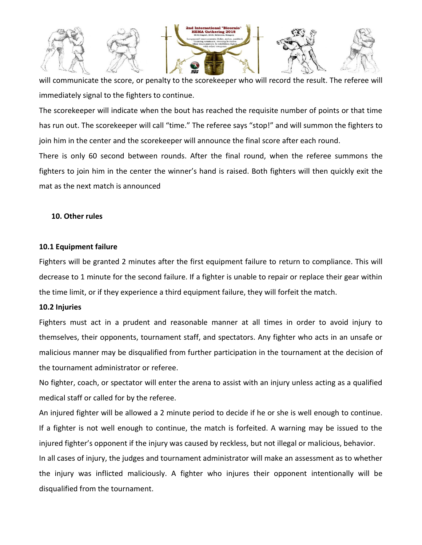

will communicate the score, or penalty to the scorekeeper who will record the result. The referee will immediately signal to the fighters to continue.

The scorekeeper will indicate when the bout has reached the requisite number of points or that time has run out. The scorekeeper will call "time." The referee says "stop!" and will summon the fighters to join him in the center and the scorekeeper will announce the final score after each round.

There is only 60 second between rounds. After the final round, when the referee summons the fighters to join him in the center the winner's hand is raised. Both fighters will then quickly exit the mat as the next match is announced

### **10. Other rules**

#### **10.1 Equipment failure**

Fighters will be granted 2 minutes after the first equipment failure to return to compliance. This will decrease to 1 minute for the second failure. If a fighter is unable to repair or replace their gear within the time limit, or if they experience a third equipment failure, they will forfeit the match.

#### **10.2 Injuries**

Fighters must act in a prudent and reasonable manner at all times in order to avoid injury to themselves, their opponents, tournament staff, and spectators. Any fighter who acts in an unsafe or malicious manner may be disqualified from further participation in the tournament at the decision of the tournament administrator or referee.

No fighter, coach, or spectator will enter the arena to assist with an injury unless acting as a qualified medical staff or called for by the referee.

An injured fighter will be allowed a 2 minute period to decide if he or she is well enough to continue. If a fighter is not well enough to continue, the match is forfeited. A warning may be issued to the injured fighter's opponent if the injury was caused by reckless, but not illegal or malicious, behavior. In all cases of injury, the judges and tournament administrator will make an assessment as to whether the injury was inflicted maliciously. A fighter who injures their opponent intentionally will be disqualified from the tournament.